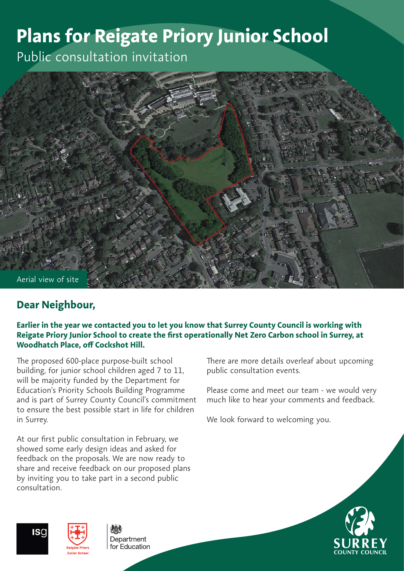# **Plans for Reigate Priory Junior School**

Public consultation invitation



# **Dear Neighbour,**

#### **Earlier in the year we contacted you to let you know that Surrey County Council is working with Reigate Priory Junior School to create the first operationally Net Zero Carbon school in Surrey, at Woodhatch Place, off Cockshot Hill.**

The proposed 600-place purpose-built school building, for junior school children aged 7 to 11, will be majority funded by the Department for Education's Priority Schools Building Programme and is part of Surrey County Council's commitment to ensure the best possible start in life for children in Surrey.

At our first public consultation in February, we showed some early design ideas and asked for feedback on the proposals. We are now ready to share and receive feedback on our proposed plans by inviting you to take part in a second public consultation.

There are more details overleaf about upcoming public consultation events.

Please come and meet our team - we would very much like to hear your comments and feedback.

We look forward to welcoming you.







Department for Fducation